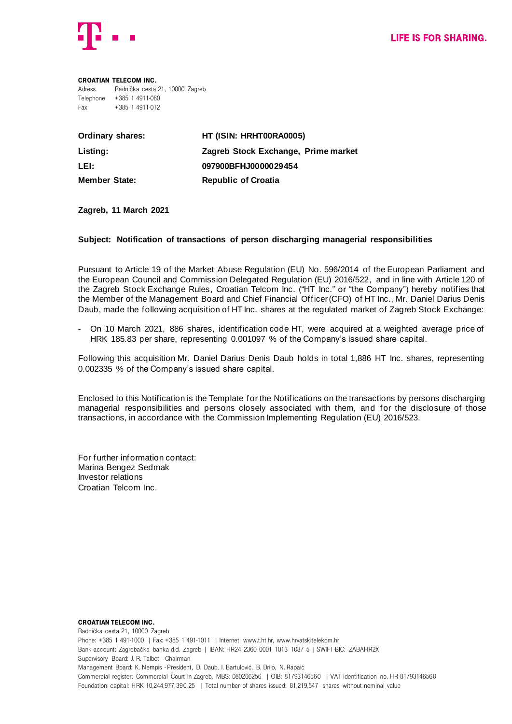

## Croatian Telecom Inc. Adress Radnička cesta 21, 10000 Zagreb Telephone +385 1 4911-080 Fax +385 1 4911-012

| <b>Ordinary shares:</b> | HT (ISIN: HRHT00RA0005)             |
|-------------------------|-------------------------------------|
| Listing:                | Zagreb Stock Exchange, Prime market |
| LEI:                    | 097900BFHJ0000029454                |
| <b>Member State:</b>    | <b>Republic of Croatia</b>          |

## **Zagreb, 11 March 2021**

## **Subject: Notification of transactions of person discharging managerial responsibilities**

Pursuant to Article 19 of the Market Abuse Regulation (EU) No. 596/2014 of the European Parliament and the European Council and Commission Delegated Regulation (EU) 2016/522, and in line with Article 120 of the Zagreb Stock Exchange Rules, Croatian Telcom Inc. ("HT Inc." or "the Company") hereby notifies that the Member of the Management Board and Chief Financial Officer (CFO) of HT Inc., Mr. Daniel Darius Denis Daub, made the following acquisition of HT Inc. shares at the regulated market of Zagreb Stock Exchange:

- On 10 March 2021, 886 shares, identification code HT, were acquired at a weighted average price of HRK 185.83 per share, representing 0.001097 % of the Company's issued share capital.

Following this acquisition Mr. Daniel Darius Denis Daub holds in total 1,886 HT Inc. shares, representing 0.002335 % of the Company's issued share capital.

Enclosed to this Notification is the Template for the Notifications on the transactions by persons discharging managerial responsibilities and persons closely associated with them, and for the disclosure of those transactions, in accordance with the Commission Implementing Regulation (EU) 2016/523.

For further information contact: Marina Bengez Sedmak Investor relations Croatian Telcom Inc.

## Croatian Telecom Inc. Radnička cesta 21, 10000 Zagreb Phone: +385 1 491-1000 | Fax: +385 1 491-1011 | Internet: www.t.ht.hr, www.hrvatskitelekom.hr Bank account: Zagrebačka banka d.d. Zagreb | IBAN: HR24 2360 0001 1013 1087 5 | SWIFT-BIC: ZABAHR2X Supervisory Board: J. R. Talbot - Chairman Management Board: K. Nempis - President, D. Daub, I. Bartulović, B. Drilo, N. Rapaić Commercial register: Commercial Court in Zagreb, MBS: 080266256 | OIB: 81793146560 | VAT identification no. HR 81793146560 Foundation capital: HRK 10,244,977,390.25 | Total number of shares issued: 81,219,547 shares without nominal value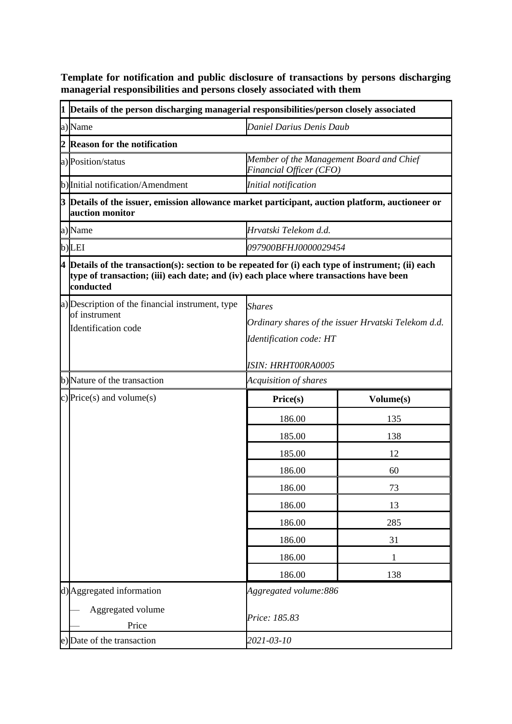**Template for notification and public disclosure of transactions by persons discharging managerial responsibilities and persons closely associated with them**

|  | 1 Details of the person discharging managerial responsibilities/person closely associated                                                                                                                   |                                                                     |           |
|--|-------------------------------------------------------------------------------------------------------------------------------------------------------------------------------------------------------------|---------------------------------------------------------------------|-----------|
|  | a) Name                                                                                                                                                                                                     | Daniel Darius Denis Daub                                            |           |
|  | 2 Reason for the notification                                                                                                                                                                               |                                                                     |           |
|  | a) Position/status                                                                                                                                                                                          | Member of the Management Board and Chief<br>Financial Officer (CFO) |           |
|  | b) Initial notification/Amendment                                                                                                                                                                           | Initial notification                                                |           |
|  | 3 Details of the issuer, emission allowance market participant, auction platform, auctioneer or<br>auction monitor                                                                                          |                                                                     |           |
|  | a) Name                                                                                                                                                                                                     | Hrvatski Telekom d.d.                                               |           |
|  | b)LEI                                                                                                                                                                                                       | 097900BFHJ0000029454                                                |           |
|  | $4$ Details of the transaction(s): section to be repeated for (i) each type of instrument; (ii) each<br>type of transaction; (iii) each date; and (iv) each place where transactions have been<br>conducted |                                                                     |           |
|  | a) Description of the financial instrument, type                                                                                                                                                            | <b>Shares</b>                                                       |           |
|  | of instrument<br>Identification code                                                                                                                                                                        | Ordinary shares of the issuer Hrvatski Telekom d.d.                 |           |
|  |                                                                                                                                                                                                             | <b>Identification code: HT</b>                                      |           |
|  |                                                                                                                                                                                                             | ISIN: HRHTOORA0005                                                  |           |
|  | b) Nature of the transaction                                                                                                                                                                                | Acquisition of shares                                               |           |
|  | c) Price(s) and volume(s)                                                                                                                                                                                   | Price(s)                                                            | Volume(s) |
|  |                                                                                                                                                                                                             | 186.00                                                              | 135       |
|  |                                                                                                                                                                                                             | 185.00                                                              | 138       |
|  |                                                                                                                                                                                                             | 185.00                                                              | 12        |
|  |                                                                                                                                                                                                             | 186.00                                                              | 60        |
|  |                                                                                                                                                                                                             | 186.00                                                              | 73        |
|  |                                                                                                                                                                                                             | 186.00                                                              | 13        |
|  |                                                                                                                                                                                                             | 186.00                                                              | 285       |
|  |                                                                                                                                                                                                             | 186.00                                                              | 31        |
|  |                                                                                                                                                                                                             | 186.00                                                              | 1         |
|  |                                                                                                                                                                                                             | 186.00                                                              | 138       |
|  | d) Aggregated information                                                                                                                                                                                   | Aggregated volume:886                                               |           |
|  | Aggregated volume<br>Price                                                                                                                                                                                  | Price: 185.83                                                       |           |
|  | e) Date of the transaction                                                                                                                                                                                  | 2021-03-10                                                          |           |